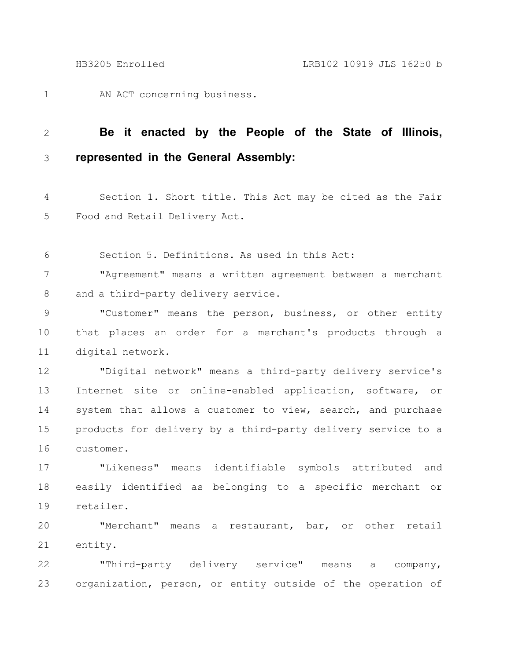AN ACT concerning business. 1

## **Be it enacted by the People of the State of Illinois, represented in the General Assembly:** 2 3

Section 1. Short title. This Act may be cited as the Fair Food and Retail Delivery Act. 4 5

Section 5. Definitions. As used in this Act: 6

"Agreement" means a written agreement between a merchant and a third-party delivery service. 7 8

"Customer" means the person, business, or other entity that places an order for a merchant's products through a digital network. 9 10 11

"Digital network" means a third-party delivery service's Internet site or online-enabled application, software, or system that allows a customer to view, search, and purchase products for delivery by a third-party delivery service to a customer. 12 13 14 15 16

"Likeness" means identifiable symbols attributed and easily identified as belonging to a specific merchant or retailer. 17 18 19

"Merchant" means a restaurant, bar, or other retail entity. 20 21

"Third-party delivery service" means a company, organization, person, or entity outside of the operation of 22 23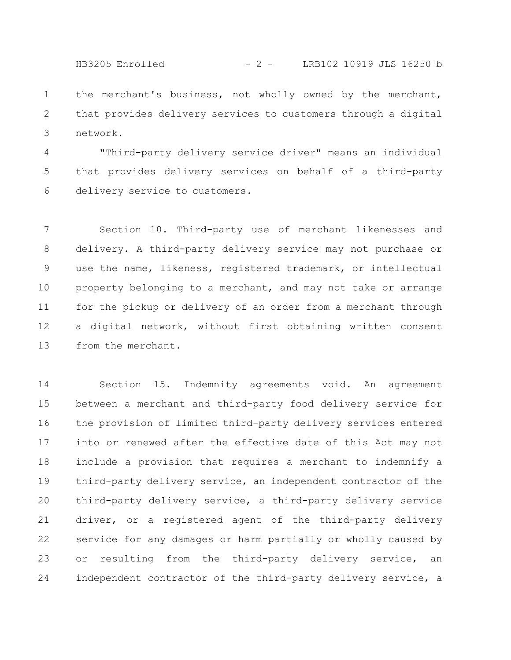HB3205 Enrolled - 2 - LRB102 10919 JLS 16250 b

the merchant's business, not wholly owned by the merchant, that provides delivery services to customers through a digital network. 1 2 3

"Third-party delivery service driver" means an individual that provides delivery services on behalf of a third-party delivery service to customers. 4 5 6

Section 10. Third-party use of merchant likenesses and delivery. A third-party delivery service may not purchase or use the name, likeness, registered trademark, or intellectual property belonging to a merchant, and may not take or arrange for the pickup or delivery of an order from a merchant through a digital network, without first obtaining written consent from the merchant. 7 8 9 10 11 12 13

Section 15. Indemnity agreements void. An agreement between a merchant and third-party food delivery service for the provision of limited third-party delivery services entered into or renewed after the effective date of this Act may not include a provision that requires a merchant to indemnify a third-party delivery service, an independent contractor of the third-party delivery service, a third-party delivery service driver, or a registered agent of the third-party delivery service for any damages or harm partially or wholly caused by or resulting from the third-party delivery service, an independent contractor of the third-party delivery service, a 14 15 16 17 18 19 20 21 22 23 24